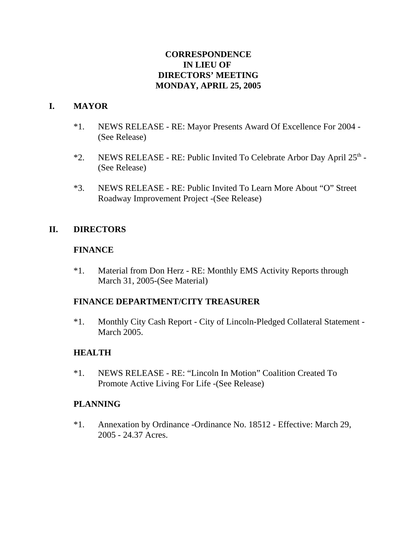# **CORRESPONDENCE IN LIEU OF DIRECTORS' MEETING MONDAY, APRIL 25, 2005**

# **I. MAYOR**

- \*1. NEWS RELEASE RE: Mayor Presents Award Of Excellence For 2004 (See Release)
- \*2. NEWS RELEASE RE: Public Invited To Celebrate Arbor Day April  $25<sup>th</sup>$  -(See Release)
- \*3. NEWS RELEASE RE: Public Invited To Learn More About "O" Street Roadway Improvement Project -(See Release)

# **II. DIRECTORS**

# **FINANCE**

\*1. Material from Don Herz - RE: Monthly EMS Activity Reports through March 31, 2005-(See Material)

# **FINANCE DEPARTMENT/CITY TREASURER**

\*1. Monthly City Cash Report - City of Lincoln-Pledged Collateral Statement - March 2005.

# **HEALTH**

\*1. NEWS RELEASE - RE: "Lincoln In Motion" Coalition Created To Promote Active Living For Life -(See Release)

# **PLANNING**

\*1. Annexation by Ordinance -Ordinance No. 18512 - Effective: March 29, 2005 - 24.37 Acres.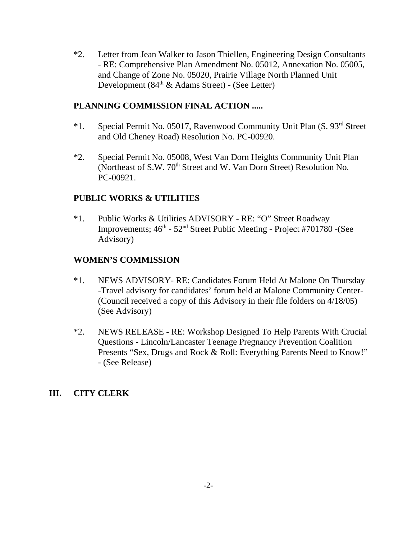\*2. Letter from Jean Walker to Jason Thiellen, Engineering Design Consultants - RE: Comprehensive Plan Amendment No. 05012, Annexation No. 05005, and Change of Zone No. 05020, Prairie Village North Planned Unit Development (84<sup>th</sup> & Adams Street) - (See Letter)

# **PLANNING COMMISSION FINAL ACTION .....**

- \*1. Special Permit No. 05017, Ravenwood Community Unit Plan (S. 93rd Street and Old Cheney Road) Resolution No. PC-00920.
- \*2. Special Permit No. 05008, West Van Dorn Heights Community Unit Plan (Northeast of S.W. 70<sup>th</sup> Street and W. Van Dorn Street) Resolution No. PC-00921.

#### **PUBLIC WORKS & UTILITIES**

\*1. Public Works & Utilities ADVISORY - RE: "O" Street Roadway Improvements;  $46<sup>th</sup> - 52<sup>nd</sup> Street Public Meeting - Project #701780 - (See)$ Advisory)

#### **WOMEN'S COMMISSION**

- \*1. NEWS ADVISORY- RE: Candidates Forum Held At Malone On Thursday -Travel advisory for candidates' forum held at Malone Community Center- (Council received a copy of this Advisory in their file folders on 4/18/05) (See Advisory)
- \*2. NEWS RELEASE RE: Workshop Designed To Help Parents With Crucial Questions - Lincoln/Lancaster Teenage Pregnancy Prevention Coalition Presents "Sex, Drugs and Rock & Roll: Everything Parents Need to Know!" - (See Release)

# **III. CITY CLERK**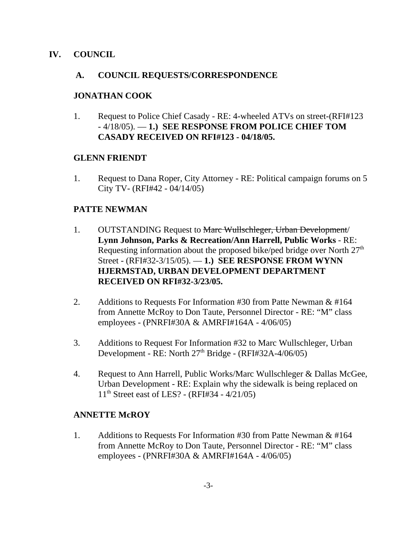# **IV. COUNCIL**

#### **A. COUNCIL REQUESTS/CORRESPONDENCE**

#### **JONATHAN COOK**

1. Request to Police Chief Casady - RE: 4-wheeled ATVs on street-(RFI#123 - 4/18/05). — **1.) SEE RESPONSE FROM POLICE CHIEF TOM CASADY RECEIVED ON RFI#123 - 04/18/05.** 

#### **GLENN FRIENDT**

1. Request to Dana Roper, City Attorney - RE: Political campaign forums on 5 City TV- (RFI#42 - 04/14/05)

#### **PATTE NEWMAN**

- 1. OUTSTANDING Request to Marc Wullschleger, Urban Development/ **Lynn Johnson, Parks & Recreation/Ann Harrell, Public Works** - RE: Requesting information about the proposed bike/ped bridge over North  $27<sup>th</sup>$ Street - (RFI#32-3/15/05). — **1.) SEE RESPONSE FROM WYNN HJERMSTAD, URBAN DEVELOPMENT DEPARTMENT RECEIVED ON RFI#32-3/23/05.**
- 2. Additions to Requests For Information #30 from Patte Newman & #164 from Annette McRoy to Don Taute, Personnel Director - RE: "M" class employees - (PNRFI#30A & AMRFI#164A - 4/06/05)
- 3. Additions to Request For Information #32 to Marc Wullschleger, Urban Development - RE: North 27<sup>th</sup> Bridge - (RFI#32A-4/06/05)
- 4. Request to Ann Harrell, Public Works/Marc Wullschleger & Dallas McGee, Urban Development - RE: Explain why the sidewalk is being replaced on 11th Street east of LES? - (RFI#34 - 4/21/05)

# **ANNETTE McROY**

1. Additions to Requests For Information #30 from Patte Newman & #164 from Annette McRoy to Don Taute, Personnel Director - RE: "M" class employees - (PNRFI#30A & AMRFI#164A - 4/06/05)